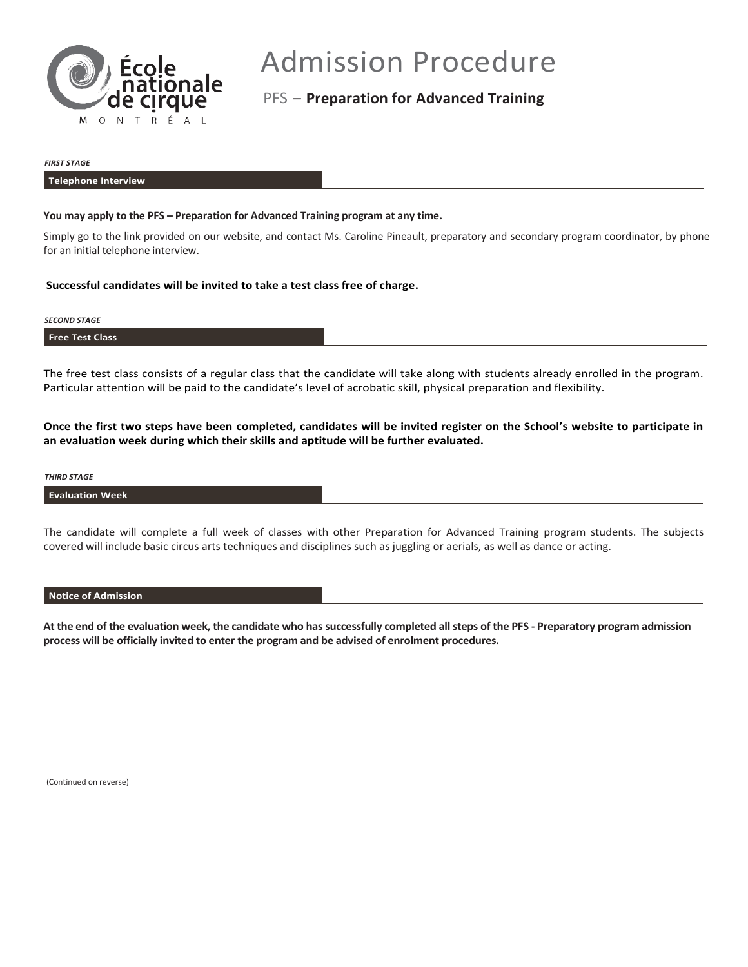

# Admission Procedure

PFS – **Preparation for Advanced Training**

#### *FIRST STAGE*

#### **Telephone Interview**

## **You may apply to the PFS – Preparation for Advanced Training program at any time.**

Simply go to the link provided on our website, and contact Ms. Caroline Pineault, preparatory and secondary program coordinator, by phone for an initial telephone interview.

# **Successful candidates will be invited to take a test class free of charge.**

## *SECOND STAGE*

## **Free Test Class**

The free test class consists of a regular class that the candidate will take along with students already enrolled in the program. Particular attention will be paid to the candidate's level of acrobatic skill, physical preparation and flexibility.

**Once the first two steps have been completed, candidates will be invited register on the School's website to participate in an evaluation week during which their skills and aptitude will be further evaluated.**

#### *THIRD STAGE*

## **Evaluation Week**

The candidate will complete a full week of classes with other Preparation for Advanced Training program students. The subjects covered will include basic circus arts techniques and disciplines such as juggling or aerials, as well as dance or acting.

## **Notice of Admission**

**At the end of the evaluation week, the candidate who has successfully completed all steps of the PFS - Preparatory program admission process will be officially invited to enter the program and be advised of enrolment procedures.**